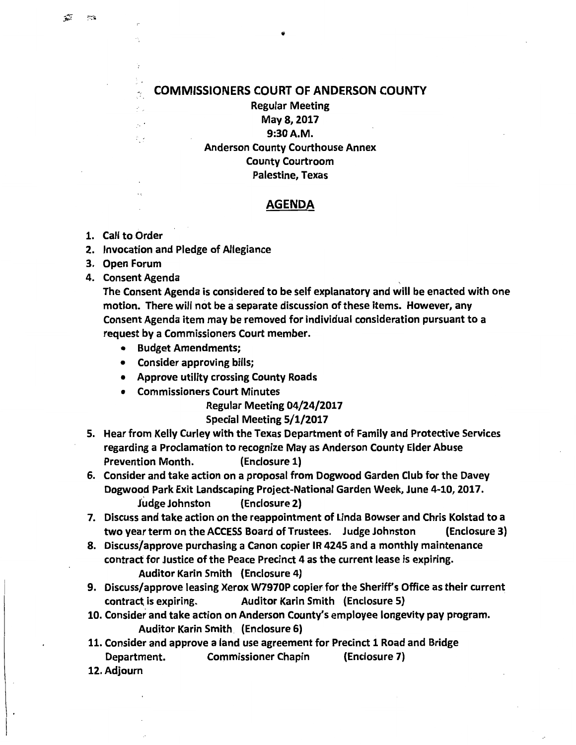## COMMISSIONERS COURT OF ANDERSON COUNTY

Regular Meeting May 8, 2017 9:30A.M. Anderson County Courthouse Annex County Courtroom Palestine, Texas

## AGENDA

1. Call to Order

 $\gamma$ ž.

- 2. Invocation and Pledge of Allegiance
- 3. Open Forum
- 4. Consent Agenda

The Consent Agenda is considered to be self explanatory and will be enacted with one motion. There will not be a separate discussion of these items. However, any Consent Agenda item may be removed for individual consideration pursuant to a request by a Commissioners Court member.

- Budget Amendments;
- Consider approving bills;
- Approve utility crossing County Roads
- Commissioners Court Minutes

Regular Meeting 04/24/2017

## Special Meeting 5/1/2017

- 5. Hear from Kelly Curley with the Texas Department of Family and Protective Services regarding a Proclamation to recognize May as Anderson County Elder Abuse Prevention Month. (Enclosure 1)
- 6. Consider and take action on a proposal from Dogwood Garden Club for the Davey Dogwood Park Exit Landscaping Project-National Garden Week, June 4-10, 2017. Judge Johnston (Enclosure 2)
- 7. Discuss and take action on the reappointment of Linda Bowser and Chris Kolstad to a two year term on the ACCESS Board of Trustees. Judge Johnston (Enclosure 3)
- 8. Discuss/approve purchasing a Canon copier IR 4245 and a monthly maintenance contract for Justice of the Peace Precinct 4 as the current lease is expiring. Auditor Karin Smith (Enclosure 4)
- 9. Discuss/approve leasing Xerox W7970P copier for the Sheriff's Office as their current contract; is expiring. Auditor Karin Smith (Enclosure 5)
- 10. Consider and take action on Anderson County's employee longevity pay program. Auditor Karin Smith (Enclosure 6)
- 11. Consider and approve a land use agreement for Precinct 1 Road and Bridge Department. Commissioner Chapin (Enclosure 7)
- 12. Adjourn